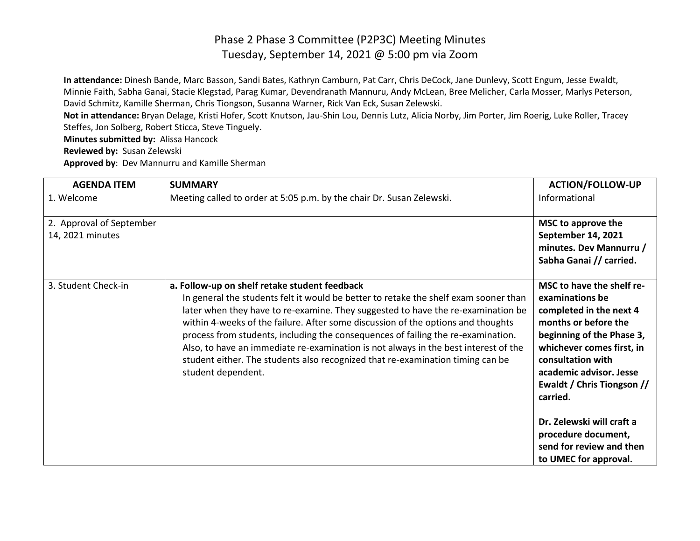**In attendance:** Dinesh Bande, Marc Basson, Sandi Bates, Kathryn Camburn, Pat Carr, Chris DeCock, Jane Dunlevy, Scott Engum, Jesse Ewaldt, Minnie Faith, Sabha Ganai, Stacie Klegstad, Parag Kumar, Devendranath Mannuru, Andy McLean, Bree Melicher, Carla Mosser, Marlys Peterson, David Schmitz, Kamille Sherman, Chris Tiongson, Susanna Warner, Rick Van Eck, Susan Zelewski.

**Not in attendance:** Bryan Delage, Kristi Hofer, Scott Knutson, Jau-Shin Lou, Dennis Lutz, Alicia Norby, Jim Porter, Jim Roerig, Luke Roller, Tracey Steffes, Jon Solberg, Robert Sticca, Steve Tinguely.

**Minutes submitted by:** Alissa Hancock

**Reviewed by:** Susan Zelewski

**Approved by**: Dev Mannurru and Kamille Sherman

| <b>AGENDA ITEM</b>                           | <b>SUMMARY</b>                                                                                                                                                                                                                                                                                                                                                                                                                                                                                                                                                                                   | <b>ACTION/FOLLOW-UP</b>                                                                                                                                                                                                                                                                                                                                      |
|----------------------------------------------|--------------------------------------------------------------------------------------------------------------------------------------------------------------------------------------------------------------------------------------------------------------------------------------------------------------------------------------------------------------------------------------------------------------------------------------------------------------------------------------------------------------------------------------------------------------------------------------------------|--------------------------------------------------------------------------------------------------------------------------------------------------------------------------------------------------------------------------------------------------------------------------------------------------------------------------------------------------------------|
| 1. Welcome                                   | Meeting called to order at 5:05 p.m. by the chair Dr. Susan Zelewski.                                                                                                                                                                                                                                                                                                                                                                                                                                                                                                                            | Informational                                                                                                                                                                                                                                                                                                                                                |
| 2. Approval of September<br>14, 2021 minutes |                                                                                                                                                                                                                                                                                                                                                                                                                                                                                                                                                                                                  | MSC to approve the<br>September 14, 2021<br>minutes. Dev Mannurru /<br>Sabha Ganai // carried.                                                                                                                                                                                                                                                               |
| 3. Student Check-in                          | a. Follow-up on shelf retake student feedback<br>In general the students felt it would be better to retake the shelf exam sooner than<br>later when they have to re-examine. They suggested to have the re-examination be<br>within 4-weeks of the failure. After some discussion of the options and thoughts<br>process from students, including the consequences of failing the re-examination.<br>Also, to have an immediate re-examination is not always in the best interest of the<br>student either. The students also recognized that re-examination timing can be<br>student dependent. | MSC to have the shelf re-<br>examinations be<br>completed in the next 4<br>months or before the<br>beginning of the Phase 3,<br>whichever comes first, in<br>consultation with<br>academic advisor. Jesse<br>Ewaldt / Chris Tiongson //<br>carried.<br>Dr. Zelewski will craft a<br>procedure document,<br>send for review and then<br>to UMEC for approval. |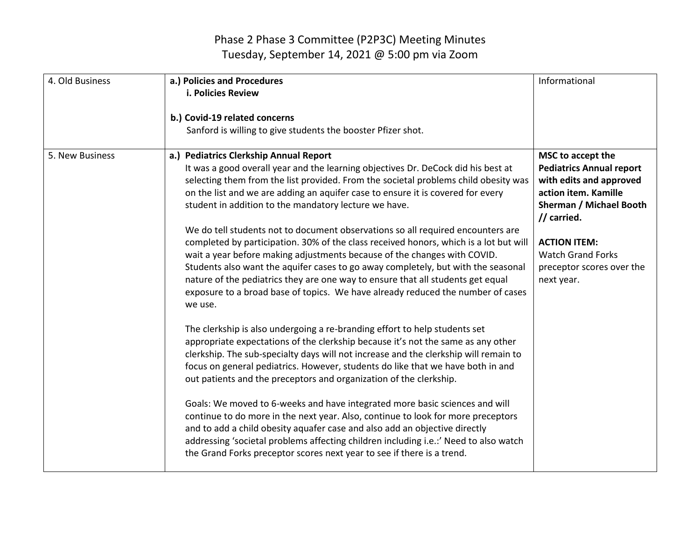| 4. Old Business | a.) Policies and Procedures<br><b>i. Policies Review</b><br>b.) Covid-19 related concerns<br>Sanford is willing to give students the booster Pfizer shot.                                                                                                                                                                                                                                                                                                                                                                  | Informational                                                                                                                                     |
|-----------------|----------------------------------------------------------------------------------------------------------------------------------------------------------------------------------------------------------------------------------------------------------------------------------------------------------------------------------------------------------------------------------------------------------------------------------------------------------------------------------------------------------------------------|---------------------------------------------------------------------------------------------------------------------------------------------------|
| 5. New Business | a.) Pediatrics Clerkship Annual Report<br>It was a good overall year and the learning objectives Dr. DeCock did his best at<br>selecting them from the list provided. From the societal problems child obesity was<br>on the list and we are adding an aquifer case to ensure it is covered for every<br>student in addition to the mandatory lecture we have.                                                                                                                                                             | MSC to accept the<br><b>Pediatrics Annual report</b><br>with edits and approved<br>action item. Kamille<br>Sherman / Michael Booth<br>// carried. |
|                 | We do tell students not to document observations so all required encounters are<br>completed by participation. 30% of the class received honors, which is a lot but will<br>wait a year before making adjustments because of the changes with COVID.<br>Students also want the aquifer cases to go away completely, but with the seasonal<br>nature of the pediatrics they are one way to ensure that all students get equal<br>exposure to a broad base of topics. We have already reduced the number of cases<br>we use. | <b>ACTION ITEM:</b><br><b>Watch Grand Forks</b><br>preceptor scores over the<br>next year.                                                        |
|                 | The clerkship is also undergoing a re-branding effort to help students set<br>appropriate expectations of the clerkship because it's not the same as any other<br>clerkship. The sub-specialty days will not increase and the clerkship will remain to<br>focus on general pediatrics. However, students do like that we have both in and<br>out patients and the preceptors and organization of the clerkship.                                                                                                            |                                                                                                                                                   |
|                 | Goals: We moved to 6-weeks and have integrated more basic sciences and will<br>continue to do more in the next year. Also, continue to look for more preceptors<br>and to add a child obesity aquafer case and also add an objective directly<br>addressing 'societal problems affecting children including i.e.:' Need to also watch<br>the Grand Forks preceptor scores next year to see if there is a trend.                                                                                                            |                                                                                                                                                   |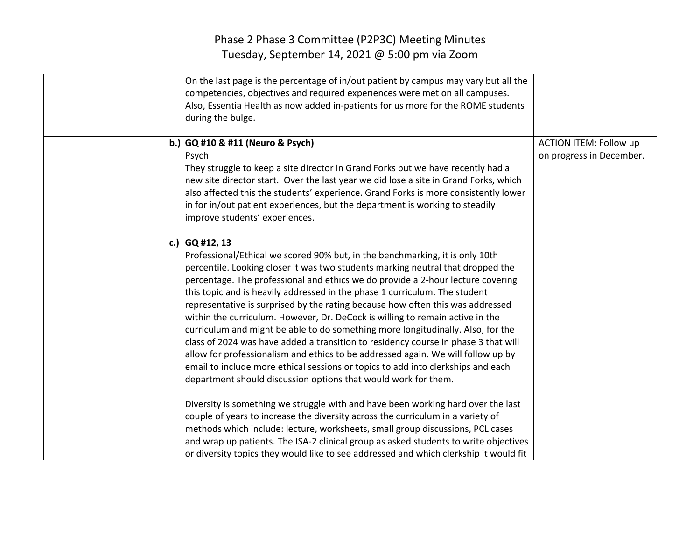| On the last page is the percentage of in/out patient by campus may vary but all the<br>competencies, objectives and required experiences were met on all campuses.<br>Also, Essentia Health as now added in-patients for us more for the ROME students<br>during the bulge.                                                                                                                                                                                                                                                                                                                                                                                                                                                                                                                                                                                                                                                                                                                                                                                                                                                                                                                                                                                                               |                                                           |
|-------------------------------------------------------------------------------------------------------------------------------------------------------------------------------------------------------------------------------------------------------------------------------------------------------------------------------------------------------------------------------------------------------------------------------------------------------------------------------------------------------------------------------------------------------------------------------------------------------------------------------------------------------------------------------------------------------------------------------------------------------------------------------------------------------------------------------------------------------------------------------------------------------------------------------------------------------------------------------------------------------------------------------------------------------------------------------------------------------------------------------------------------------------------------------------------------------------------------------------------------------------------------------------------|-----------------------------------------------------------|
| b.) GQ #10 & #11 (Neuro & Psych)<br>Psych<br>They struggle to keep a site director in Grand Forks but we have recently had a<br>new site director start. Over the last year we did lose a site in Grand Forks, which<br>also affected this the students' experience. Grand Forks is more consistently lower<br>in for in/out patient experiences, but the department is working to steadily<br>improve students' experiences.                                                                                                                                                                                                                                                                                                                                                                                                                                                                                                                                                                                                                                                                                                                                                                                                                                                             | <b>ACTION ITEM: Follow up</b><br>on progress in December. |
| c.) GQ #12, 13<br>Professional/Ethical we scored 90% but, in the benchmarking, it is only 10th<br>percentile. Looking closer it was two students marking neutral that dropped the<br>percentage. The professional and ethics we do provide a 2-hour lecture covering<br>this topic and is heavily addressed in the phase 1 curriculum. The student<br>representative is surprised by the rating because how often this was addressed<br>within the curriculum. However, Dr. DeCock is willing to remain active in the<br>curriculum and might be able to do something more longitudinally. Also, for the<br>class of 2024 was have added a transition to residency course in phase 3 that will<br>allow for professionalism and ethics to be addressed again. We will follow up by<br>email to include more ethical sessions or topics to add into clerkships and each<br>department should discussion options that would work for them.<br>Diversity is something we struggle with and have been working hard over the last<br>couple of years to increase the diversity across the curriculum in a variety of<br>methods which include: lecture, worksheets, small group discussions, PCL cases<br>and wrap up patients. The ISA-2 clinical group as asked students to write objectives |                                                           |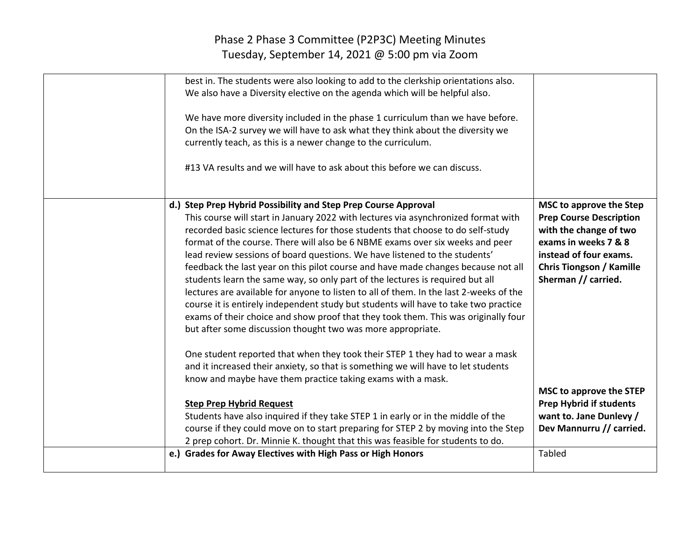| best in. The students were also looking to add to the clerkship orientations also.<br>We also have a Diversity elective on the agenda which will be helpful also.<br>We have more diversity included in the phase 1 curriculum than we have before.<br>On the ISA-2 survey we will have to ask what they think about the diversity we<br>currently teach, as this is a newer change to the curriculum.<br>#13 VA results and we will have to ask about this before we can discuss.                                                                                                                                                                                                                                                                                                                                                                                                                                 |                                                                                                                                                                                                 |
|--------------------------------------------------------------------------------------------------------------------------------------------------------------------------------------------------------------------------------------------------------------------------------------------------------------------------------------------------------------------------------------------------------------------------------------------------------------------------------------------------------------------------------------------------------------------------------------------------------------------------------------------------------------------------------------------------------------------------------------------------------------------------------------------------------------------------------------------------------------------------------------------------------------------|-------------------------------------------------------------------------------------------------------------------------------------------------------------------------------------------------|
| d.) Step Prep Hybrid Possibility and Step Prep Course Approval<br>This course will start in January 2022 with lectures via asynchronized format with<br>recorded basic science lectures for those students that choose to do self-study<br>format of the course. There will also be 6 NBME exams over six weeks and peer<br>lead review sessions of board questions. We have listened to the students'<br>feedback the last year on this pilot course and have made changes because not all<br>students learn the same way, so only part of the lectures is required but all<br>lectures are available for anyone to listen to all of them. In the last 2-weeks of the<br>course it is entirely independent study but students will have to take two practice<br>exams of their choice and show proof that they took them. This was originally four<br>but after some discussion thought two was more appropriate. | MSC to approve the Step<br><b>Prep Course Description</b><br>with the change of two<br>exams in weeks 7 & 8<br>instead of four exams.<br><b>Chris Tiongson / Kamille</b><br>Sherman // carried. |
| One student reported that when they took their STEP 1 they had to wear a mask<br>and it increased their anxiety, so that is something we will have to let students<br>know and maybe have them practice taking exams with a mask.                                                                                                                                                                                                                                                                                                                                                                                                                                                                                                                                                                                                                                                                                  |                                                                                                                                                                                                 |
| <b>Step Prep Hybrid Request</b><br>Students have also inquired if they take STEP 1 in early or in the middle of the<br>course if they could move on to start preparing for STEP 2 by moving into the Step<br>2 prep cohort. Dr. Minnie K. thought that this was feasible for students to do.                                                                                                                                                                                                                                                                                                                                                                                                                                                                                                                                                                                                                       | MSC to approve the STEP<br><b>Prep Hybrid if students</b><br>want to. Jane Dunlevy /<br>Dev Mannurru // carried.                                                                                |
| e.) Grades for Away Electives with High Pass or High Honors                                                                                                                                                                                                                                                                                                                                                                                                                                                                                                                                                                                                                                                                                                                                                                                                                                                        | Tabled                                                                                                                                                                                          |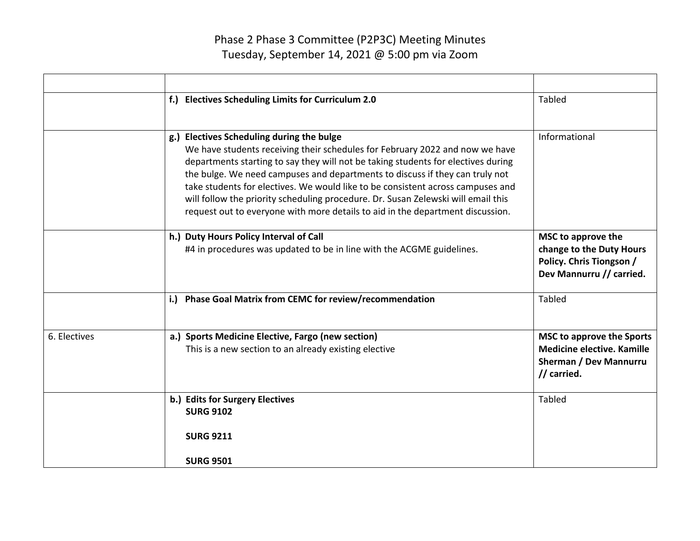|              | f.) Electives Scheduling Limits for Curriculum 2.0                                                                                                                                                                                                                                                                                                                                                                                                                                                                                                       | Tabled                                                                                                                |
|--------------|----------------------------------------------------------------------------------------------------------------------------------------------------------------------------------------------------------------------------------------------------------------------------------------------------------------------------------------------------------------------------------------------------------------------------------------------------------------------------------------------------------------------------------------------------------|-----------------------------------------------------------------------------------------------------------------------|
|              | g.) Electives Scheduling during the bulge<br>We have students receiving their schedules for February 2022 and now we have<br>departments starting to say they will not be taking students for electives during<br>the bulge. We need campuses and departments to discuss if they can truly not<br>take students for electives. We would like to be consistent across campuses and<br>will follow the priority scheduling procedure. Dr. Susan Zelewski will email this<br>request out to everyone with more details to aid in the department discussion. | Informational                                                                                                         |
|              | h.) Duty Hours Policy Interval of Call<br>#4 in procedures was updated to be in line with the ACGME guidelines.                                                                                                                                                                                                                                                                                                                                                                                                                                          | MSC to approve the<br>change to the Duty Hours<br>Policy. Chris Tiongson /<br>Dev Mannurru // carried.                |
|              | i.) Phase Goal Matrix from CEMC for review/recommendation                                                                                                                                                                                                                                                                                                                                                                                                                                                                                                | Tabled                                                                                                                |
| 6. Electives | a.) Sports Medicine Elective, Fargo (new section)<br>This is a new section to an already existing elective                                                                                                                                                                                                                                                                                                                                                                                                                                               | <b>MSC to approve the Sports</b><br><b>Medicine elective. Kamille</b><br><b>Sherman / Dev Mannurru</b><br>// carried. |
|              | b.) Edits for Surgery Electives<br><b>SURG 9102</b>                                                                                                                                                                                                                                                                                                                                                                                                                                                                                                      | <b>Tabled</b>                                                                                                         |
|              | <b>SURG 9211</b><br><b>SURG 9501</b>                                                                                                                                                                                                                                                                                                                                                                                                                                                                                                                     |                                                                                                                       |